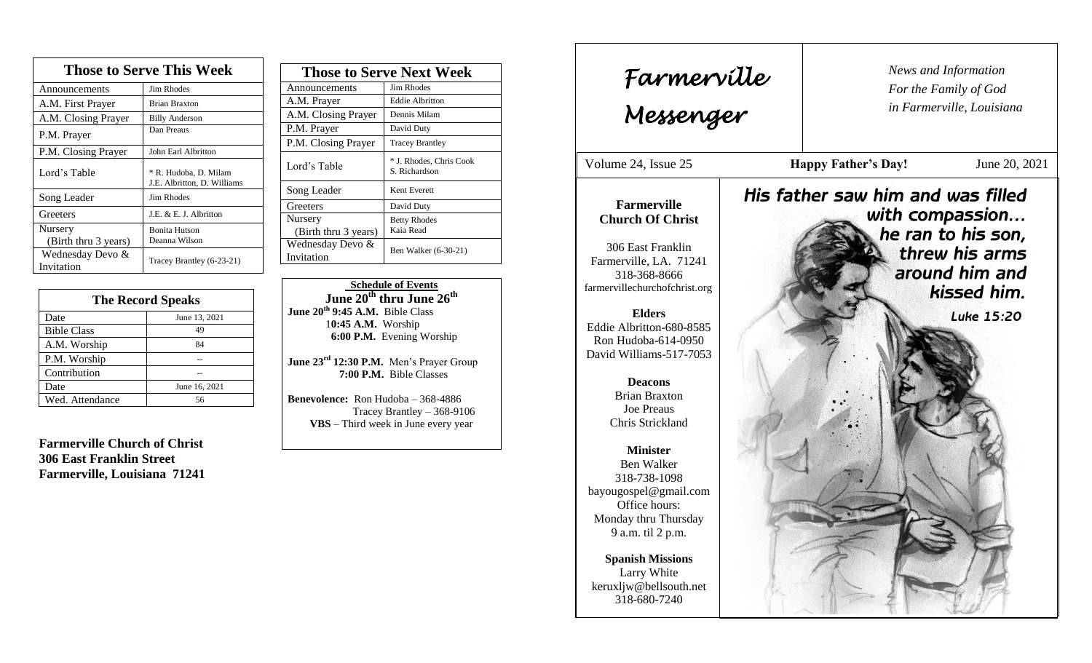| <b>Those to Serve This Week</b> |                                                      |  |
|---------------------------------|------------------------------------------------------|--|
| Announcements                   | Jim Rhodes                                           |  |
| A.M. First Prayer               | <b>Brian Braxton</b>                                 |  |
| A.M. Closing Prayer             | <b>Billy Anderson</b>                                |  |
| P.M. Prayer                     | Dan Preaus                                           |  |
| P.M. Closing Prayer             | John Earl Albritton                                  |  |
| Lord's Table                    | * R. Hudoba, D. Milam<br>J.E. Albritton, D. Williams |  |
| Song Leader                     | Jim Rhodes                                           |  |
| Greeters                        | J.E. & E. J. Albritton                               |  |
| Nursery                         | <b>Bonita Hutson</b>                                 |  |
| (Birth thru 3 years)            | Deanna Wilson                                        |  |
| Wednesday Devo &<br>Invitation  | Tracey Brantley (6-23-21)                            |  |

| <b>The Record Speaks</b> |               |
|--------------------------|---------------|
| Date                     | June 13, 2021 |
| <b>Bible Class</b>       | 49            |
| A.M. Worship             | 84            |
| P.M. Worship             |               |
| Contribution             |               |
| Date                     | June 16, 2021 |
| Wed. Attendance          | 56            |

**Farmerville Church of Christ 306 East Franklin Street Farmerville, Louisiana 71241**

| <b>Those to Serve Next Week</b> |                                          |
|---------------------------------|------------------------------------------|
| Announcements                   | Jim Rhodes                               |
| A.M. Prayer                     | <b>Eddie Albritton</b>                   |
| A.M. Closing Prayer             | Dennis Milam                             |
| P.M. Prayer                     | David Duty                               |
| P.M. Closing Prayer             | <b>Tracey Brantley</b>                   |
| Lord's Table                    | * J. Rhodes, Chris Cook<br>S. Richardson |
| Song Leader                     | Kent Everett                             |
| Greeters                        | David Duty                               |
| Nursery                         | <b>Betty Rhodes</b>                      |
| (Birth thru 3 years)            | Kaia Read                                |
| Wednesday Devo &<br>Invitation  | Ben Walker (6-30-21)                     |
|                                 |                                          |

 **Schedule of Events June 20th thru June 26th June 20th 9:45 A.M.** Bible Class 1**0:45 A.M.** Worship  **6:00 P.M.** Evening Worship

**June 23rd 12:30 P.M.** Men's Prayer Group **7:00 P.M.** Bible Classes

**Benevolence:** Ron Hudoba – 368-4886 Tracey Brantley – 368-9106 **VBS** – Third week in June every year